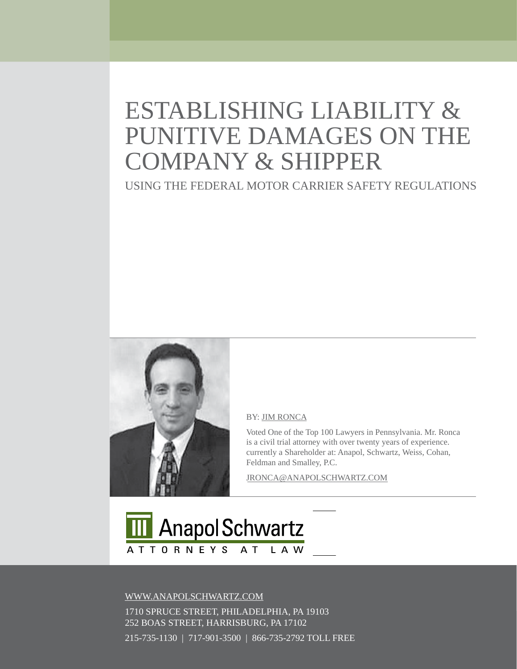# ESTaBLiShing LiaBiLiTy & PUNITIVE DAMAGES ON THE COMPany & ShiPPER

USing ThE FEDERaL MOTOR CaRRiER SaFETy REgULaTiOnS



#### By[: JiM ROnCa](http://www.anapolschwartz.com/attorneys/jim_ronca.shtml)

Voted One of the Top 100 Lawyers in Pennsylvania. Mr. Ronca is a civil trial attorney with over twenty years of experience. currently a Shareholder at: Anapol, Schwartz, Weiss, Cohan, Feldman and Smalley, P.C.

JROnCa@anaPOLSChWaRTz.COM



[WWW.anaPOLSChWaRTz.COM](http://www.anapolschwartz.com) 

 $\frac{215}{205}$  at Anapol Schwartz.  $\frac{215}{205}$  at Anapol Schwartz.  $\frac{2500}{200}$  $215$ -735-1130 | 717-901-3500 | 866-735-2792 TOLL FREE 1710 SPRUCE STREET, PhiLaDELPhia, Pa 19103 252 BOaS STREET, haRRiSBURg, Pa 17102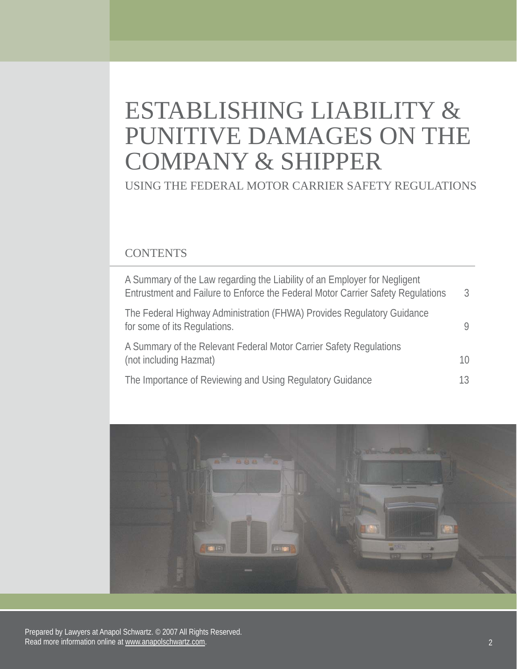# ESTABLISHING LIABILITY & PUNITIVE DAMAGES ON THE COMPANY & SHIPPER

USING THE FEDERAL MOTOR CARRIER SAFETY REGULATIONS

#### **CONTENTS**

| A Summary of the Law regarding the Liability of an Employer for Negligent<br>Entrustment and Failure to Enforce the Federal Motor Carrier Safety Regulations | $\mathcal{S}$ |
|--------------------------------------------------------------------------------------------------------------------------------------------------------------|---------------|
| The Federal Highway Administration (FHWA) Provides Regulatory Guidance<br>for some of its Regulations.                                                       |               |
| A Summary of the Relevant Federal Motor Carrier Safety Regulations<br>(not including Hazmat)                                                                 | 10            |
| The Importance of Reviewing and Using Regulatory Guidance                                                                                                    | 13            |



Prepared by Lawyers at Anapol Schwartz. © 2007 All Rights Reserved. Read more information online at www.anapolschwartz.com. 2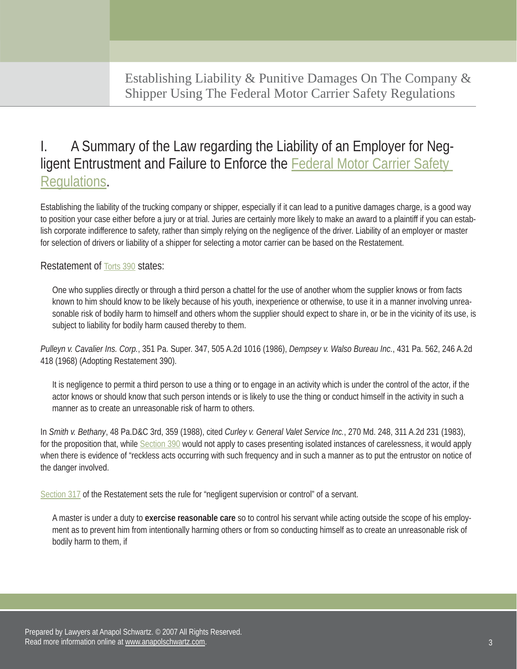## I. A Summary of the Law regarding the Liability of an Employer for Negligent Entrustment and Failure to Enforce the **Federal Motor Carrier Safety** [Regulations.](http://www.google.com/search?sourceid=navclient&aq=t&ie=UTF-8&rlz=1T4ADBF_enUS235US235&q=FMCSR)

Establishing the liability of the trucking company or shipper, especially if it can lead to a punitive damages charge, is a good way to position your case either before a jury or at trial. Juries are certainly more likely to make an award to a plaintiff if you can establish corporate indifference to safety, rather than simply relying on the negligence of the driver. Liability of an employer or master for selection of drivers or liability of a shipper for selecting a motor carrier can be based on the Restatement.

Restatement of Torts 390 states:

One who supplies directly or through a third person a chattel for the use of another whom the supplier knows or from facts known to him should know to be likely because of his youth, inexperience or otherwise, to use it in a manner involving unreasonable risk of bodily harm to himself and others whom the supplier should expect to share in, or be in the vicinity of its use, is subject to liability for bodily harm caused thereby to them.

*Pulleyn v. Cavalier Ins. Corp.*, 351 Pa. Super. 347, 505 A.2d 1016 (1986), *Dempsey v. Walso Bureau Inc.*, 431 Pa. 562, 246 A.2d 418 (1968) (Adopting Restatement 390).

It is negligence to permit a third person to use a thing or to engage in an activity which is under the control of the actor, if the actor knows or should know that such person intends or is likely to use the thing or conduct himself in the activity in such a manner as to create an unreasonable risk of harm to others.

In *Smith v. Bethany*, 48 Pa.D&C 3rd, 359 (1988), cited *Curley v. General Valet Service Inc.*, 270 Md. 248, 311 A.2d 231 (1983), for the proposition that, while Section 390 would not apply to cases presenting isolated instances of carelessness, it would apply when there is evidence of "reckless acts occurring with such frequency and in such a manner as to put the entrustor on notice of the danger involved.

Section 317 of the Restatement sets the rule for "negligent supervision or control" of a servant.

A master is under a duty to **exercise reasonable care** so to control his servant while acting outside the scope of his employment as to prevent him from intentionally harming others or from so conducting himself as to create an unreasonable risk of bodily harm to them, if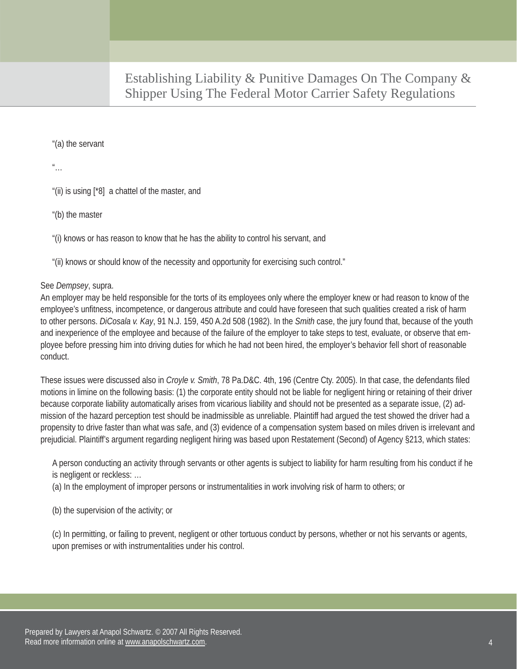"(a) the servant

 $\frac{u}{\cdot}$ .

"(ii) is using [\*8] a chattel of the master, and

"(b) the master

"(i) knows or has reason to know that he has the ability to control his servant, and

"(ii) knows or should know of the necessity and opportunity for exercising such control."

#### See *Dempsey*, supra.

An employer may be held responsible for the torts of its employees only where the employer knew or had reason to know of the employee's unfitness, incompetence, or dangerous attribute and could have foreseen that such qualities created a risk of harm to other persons. *DiCosala v. Kay*, 91 N.J. 159, 450 A.2d 508 (1982). In the *Smith* case, the jury found that, because of the youth and inexperience of the employee and because of the failure of the employer to take steps to test, evaluate, or observe that employee before pressing him into driving duties for which he had not been hired, the employer's behavior fell short of reasonable conduct.

These issues were discussed also in *Croyle v. Smith*, 78 Pa.D&C. 4th, 196 (Centre Cty. 2005). In that case, the defendants filed motions in limine on the following basis: (1) the corporate entity should not be liable for negligent hiring or retaining of their driver because corporate liability automatically arises from vicarious liability and should not be presented as a separate issue, (2) admission of the hazard perception test should be inadmissible as unreliable. Plaintiff had argued the test showed the driver had a propensity to drive faster than what was safe, and (3) evidence of a compensation system based on miles driven is irrelevant and prejudicial. Plaintiff's argument regarding negligent hiring was based upon Restatement (Second) of Agency §213, which states:

A person conducting an activity through servants or other agents is subject to liability for harm resulting from his conduct if he is negligent or reckless: …

(a) In the employment of improper persons or instrumentalities in work involving risk of harm to others; or

(b) the supervision of the activity; or

(c) In permitting, or failing to prevent, negligent or other tortuous conduct by persons, whether or not his servants or agents, upon premises or with instrumentalities under his control.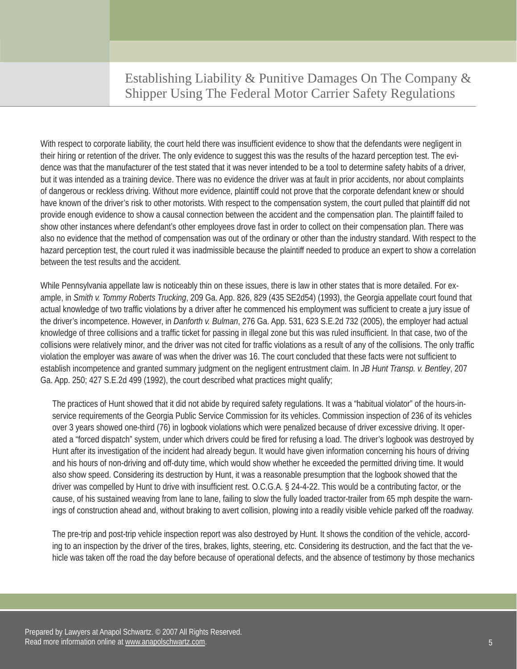With respect to corporate liability, the court held there was insufficient evidence to show that the defendants were negligent in their hiring or retention of the driver. The only evidence to suggest this was the results of the hazard perception test. The evidence was that the manufacturer of the test stated that it was never intended to be a tool to determine safety habits of a driver, but it was intended as a training device. There was no evidence the driver was at fault in prior accidents, nor about complaints of dangerous or reckless driving. Without more evidence, plaintiff could not prove that the corporate defendant knew or should have known of the driver's risk to other motorists. With respect to the compensation system, the court pulled that plaintiff did not provide enough evidence to show a causal connection between the accident and the compensation plan. The plaintiff failed to show other instances where defendant's other employees drove fast in order to collect on their compensation plan. There was also no evidence that the method of compensation was out of the ordinary or other than the industry standard. With respect to the hazard perception test, the court ruled it was inadmissible because the plaintiff needed to produce an expert to show a correlation between the test results and the accident.

While Pennsylvania appellate law is noticeably thin on these issues, there is law in other states that is more detailed. For example, in *Smith v. Tommy Roberts Trucking*, 209 Ga. App. 826, 829 (435 SE2d54) (1993), the Georgia appellate court found that actual knowledge of two traffic violations by a driver after he commenced his employment was sufficient to create a jury issue of the driver's incompetence. However, in *Danforth v. Bulman*, 276 Ga. App. 531, 623 S.E.2d 732 (2005), the employer had actual knowledge of three collisions and a traffic ticket for passing in illegal zone but this was ruled insufficient. In that case, two of the collisions were relatively minor, and the driver was not cited for traffic violations as a result of any of the collisions. The only traffic violation the employer was aware of was when the driver was 16. The court concluded that these facts were not sufficient to establish incompetence and granted summary judgment on the negligent entrustment claim. In *JB Hunt Transp. v. Bentley*, 207 Ga. App. 250; 427 S.E.2d 499 (1992), the court described what practices might qualify;

The practices of Hunt showed that it did not abide by required safety regulations. It was a "habitual violator" of the hours-inservice requirements of the Georgia Public Service Commission for its vehicles. Commission inspection of 236 of its vehicles over 3 years showed one-third (76) in logbook violations which were penalized because of driver excessive driving. It operated a "forced dispatch" system, under which drivers could be fired for refusing a load. The driver's logbook was destroyed by Hunt after its investigation of the incident had already begun. It would have given information concerning his hours of driving and his hours of non-driving and off-duty time, which would show whether he exceeded the permitted driving time. It would also show speed. Considering its destruction by Hunt, it was a reasonable presumption that the logbook showed that the driver was compelled by Hunt to drive with insufficient rest. O.C.G.A. § 24-4-22. This would be a contributing factor, or the cause, of his sustained weaving from lane to lane, failing to slow the fully loaded tractor-trailer from 65 mph despite the warnings of construction ahead and, without braking to avert collision, plowing into a readily visible vehicle parked off the roadway.

The pre-trip and post-trip vehicle inspection report was also destroyed by Hunt. It shows the condition of the vehicle, according to an inspection by the driver of the tires, brakes, lights, steering, etc. Considering its destruction, and the fact that the vehicle was taken off the road the day before because of operational defects, and the absence of testimony by those mechanics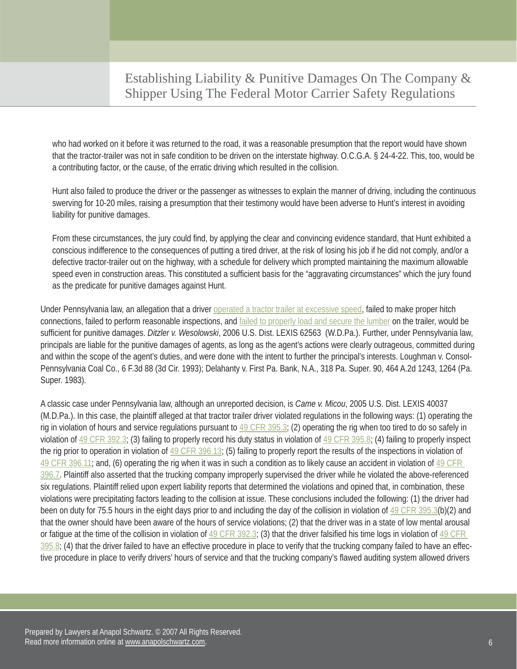who had worked on it before it was returned to the road, it was a reasonable presumption that the report would have shown that the tractor-trailer was not in safe condition to be driven on the interstate highway. O.C.G.A. § 24-4-22. This, too, would be a contributing factor, or the cause, of the erratic driving which resulted in the collision.

Hunt also failed to produce the driver or the passenger as witnesses to explain the manner of driving, including the continuous swerving for 10-20 miles, raising a presumption that their testimony would have been adverse to Hunt's interest in avoiding liability for punitive damages.

From these circumstances, the jury could find, by applying the clear and convincing evidence standard, that Hunt exhibited a conscious indifference to the consequences of putting a tired driver, at the risk of losing his job if he did not comply, and/or a defective tractor-trailer out on the highway, with a schedule for delivery which prompted maintaining the maximum allowable speed even in construction areas. This constituted a sufficient basis for the "aggravating circumstances" which the jury found as the predicate for punitive damages against Hunt.

Under Pennsylvania law, an allegation that a driver [operated a tractor trailer at excessive speed,](http://www.anapolschwartz.com/pa-truck-accident/NHSTA-causes.asp) failed to make proper hitch connections, failed to perform reasonable inspections, and [failed to properly load and secure the lumber o](http://www.anapolschwartz.com/pa-truck-accident/truck_overload.asp)n the trailer, would be sufficient for punitive damages. *Ditzler v. Wesolowski*, 2006 U.S. Dist. LEXIS 62563 (W.D.Pa.). Further, under Pennsylvania law, principals are liable for the punitive damages of agents, as long as the agent's actions were clearly outrageous, committed during and within the scope of the agent's duties, and were done with the intent to further the principal's interests. Loughman v. Consol-Pennsylvania Coal Co., 6 F.3d 88 (3d Cir. 1993); Delahanty v. First Pa. Bank, N.A., 318 Pa. Super. 90, 464 A.2d 1243, 1264 (Pa. Super. 1983).

A classic case under Pennsylvania law, although an unreported decision, is *Came v. Micou*, 2005 U.S. Dist. LEXIS 40037 (M.D.Pa.). In this case, the plaintiff alleged at that tractor trailer driver violated regulations in the following ways: (1) operating the rig in violation of hours and service regulations pursuant to 49 CFR 395.3; (2) operating the rig when too tired to do so safely in violation of  $49$  CFR 392.3; (3) failing to properly record his duty status in violation of  $49$  CFR 395.8; (4) failing to properly inspect the rig prior to operation in violation of 49 CFR 396.13; (5) failing to properly report the results of the inspections in violation of  $49$  CFR 396.11; and, (6) operating the rig when it was in such a condition as to likely cause an accident in violation of  $49$  CFR 396.7. Plaintiff also asserted that the trucking company improperly supervised the driver while he violated the above-referenced six regulations. Plaintiff relied upon expert liability reports that determined the violations and opined that, in combination, these violations were precipitating factors leading to the collision at issue. These conclusions included the following: (1) the driver had been on duty for 75.5 hours in the eight days prior to and including the day of the collision in violation of 49 CFR 395.3(b)(2) and that the owner should have been aware of the hours of service violations; (2) that the driver was in a state of low mental arousal or fatigue at the time of the collision in violation of  $49$  CFR 392.3; (3) that the driver falsified his time logs in violation of  $49$  CFR  $395.8$ ; (4) that the driver failed to have an effective procedure in place to verify that the trucking company failed to have an effective procedure in place to verify drivers' hours of service and that the trucking company's flawed auditing system allowed drivers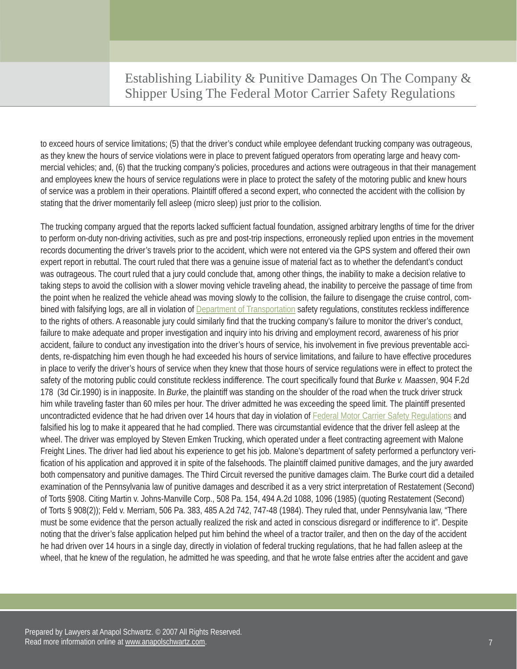to exceed hours of service limitations; (5) that the driver's conduct while employee defendant trucking company was outrageous, as they knew the hours of service violations were in place to prevent fatigued operators from operating large and heavy commercial vehicles; and, (6) that the trucking company's policies, procedures and actions were outrageous in that their management and employees knew the hours of service regulations were in place to protect the safety of the motoring public and knew hours of service was a problem in their operations. Plaintiff offered a second expert, who connected the accident with the collision by stating that the driver momentarily fell asleep (micro sleep) just prior to the collision.

The trucking company argued that the reports lacked sufficient factual foundation, assigned arbitrary lengths of time for the driver to perform on-duty non-driving activities, such as pre and post-trip inspections, erroneously replied upon entries in the movement records documenting the driver's travels prior to the accident, which were not entered via the GPS system and offered their own expert report in rebuttal. The court ruled that there was a genuine issue of material fact as to whether the defendant's conduct was outrageous. The court ruled that a jury could conclude that, among other things, the inability to make a decision relative to taking steps to avoid the collision with a slower moving vehicle traveling ahead, the inability to perceive the passage of time from the point when he realized the vehicle ahead was moving slowly to the collision, the failure to disengage the cruise control, com-bined with falsifying logs, are all in violation of [Department of Transportation](http://www.anapolschwartz.com/pa-truck-accident/PAstatspenn.asp) safety regulations, constitutes reckless indifference to the rights of others. A reasonable jury could similarly find that the trucking company's failure to monitor the driver's conduct, failure to make adequate and proper investigation and inquiry into his driving and employment record, awareness of his prior accident, failure to conduct any investigation into the driver's hours of service, his involvement in five previous preventable accidents, re-dispatching him even though he had exceeded his hours of service limitations, and failure to have effective procedures in place to verify the driver's hours of service when they knew that those hours of service regulations were in effect to protect the safety of the motoring public could constitute reckless indifference. The court specifically found that *Burke v. Maassen*, 904 F.2d 178 (3d Cir.1990) is in inapposite. In *Burke*, the plaintiff was standing on the shoulder of the road when the truck driver struck him while traveling faster than 60 miles per hour. The driver admitted he was exceeding the speed limit. The plaintiff presented uncontradicted evidence that he had driven over 14 hours that day in violation of [Federal Motor Carrier Safety Regulations](http://www.google.com/search?sourceid=navclient&aq=t&ie=UTF-8&rlz=1T4ADBF_enUS235US235&q=FMCSR) and falsified his log to make it appeared that he had complied. There was circumstantial evidence that the driver fell asleep at the wheel. The driver was employed by Steven Emken Trucking, which operated under a fleet contracting agreement with Malone Freight Lines. The driver had lied about his experience to get his job. Malone's department of safety performed a perfunctory verification of his application and approved it in spite of the falsehoods. The plaintiff claimed punitive damages, and the jury awarded both compensatory and punitive damages. The Third Circuit reversed the punitive damages claim. The Burke court did a detailed examination of the Pennsylvania law of punitive damages and described it as a very strict interpretation of Restatement (Second) of Torts §908. Citing Martin v. Johns-Manville Corp., 508 Pa. 154, 494 A.2d 1088, 1096 (1985) (quoting Restatement (Second) of Torts § 908(2)); Feld v. Merriam, 506 Pa. 383, 485 A.2d 742, 747-48 (1984). They ruled that, under Pennsylvania law, "There must be some evidence that the person actually realized the risk and acted in conscious disregard or indifference to it". Despite noting that the driver's false application helped put him behind the wheel of a tractor trailer, and then on the day of the accident he had driven over 14 hours in a single day, directly in violation of federal trucking regulations, that he had fallen asleep at the wheel, that he knew of the regulation, he admitted he was speeding, and that he wrote false entries after the accident and gave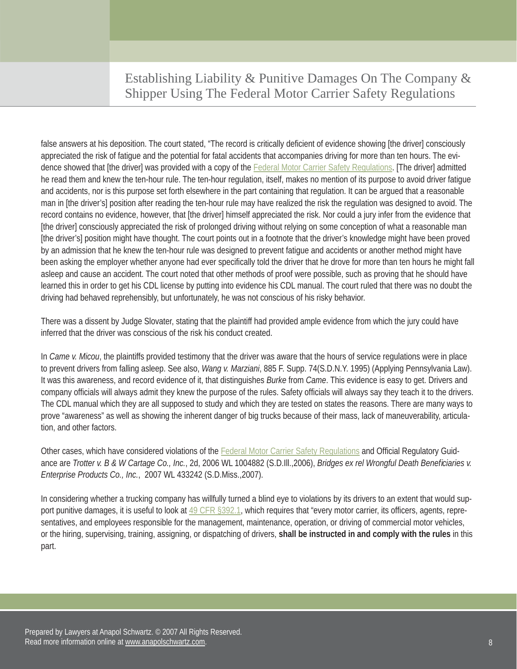false answers at his deposition. The court stated, "The record is critically deficient of evidence showing [the driver] consciously appreciated the risk of fatigue and the potential for fatal accidents that accompanies driving for more than ten hours. The evidence showed that [the driver] was provided with a copy of the [Federal Motor Carrier Safety Regulations.](http://www.google.com/search?sourceid=navclient&aq=t&ie=UTF-8&rlz=1T4ADBF_enUS235US235&q=FMCSR) [The driver] admitted he read them and knew the ten-hour rule. The ten-hour regulation, itself, makes no mention of its purpose to avoid driver fatigue and accidents, nor is this purpose set forth elsewhere in the part containing that regulation. It can be argued that a reasonable man in [the driver's] position after reading the ten-hour rule may have realized the risk the regulation was designed to avoid. The record contains no evidence, however, that [the driver] himself appreciated the risk. Nor could a jury infer from the evidence that [the driver] consciously appreciated the risk of prolonged driving without relying on some conception of what a reasonable man [the driver's] position might have thought. The court points out in a footnote that the driver's knowledge might have been proved by an admission that he knew the ten-hour rule was designed to prevent fatigue and accidents or another method might have been asking the employer whether anyone had ever specifically told the driver that he drove for more than ten hours he might fall asleep and cause an accident. The court noted that other methods of proof were possible, such as proving that he should have learned this in order to get his CDL license by putting into evidence his CDL manual. The court ruled that there was no doubt the driving had behaved reprehensibly, but unfortunately, he was not conscious of his risky behavior.

There was a dissent by Judge Slovater, stating that the plaintiff had provided ample evidence from which the jury could have inferred that the driver was conscious of the risk his conduct created.

In *Came v. Micou*, the plaintiffs provided testimony that the driver was aware that the hours of service regulations were in place to prevent drivers from falling asleep. See also, *Wang v. Marziani*, 885 F. Supp. 74(S.D.N.Y. 1995) (Applying Pennsylvania Law). It was this awareness, and record evidence of it, that distinguishes *Burke* from *Came*. This evidence is easy to get. Drivers and company officials will always admit they knew the purpose of the rules. Safety officials will always say they teach it to the drivers. The CDL manual which they are all supposed to study and which they are tested on states the reasons. There are many ways to prove "awareness" as well as showing the inherent danger of big trucks because of their mass, lack of maneuverability, articulation, and other factors.

Other cases, which have considered violations of the [Federal Motor Carrier Safety Regulations a](http://www.google.com/search?sourceid=navclient&aq=t&ie=UTF-8&rlz=1T4ADBF_enUS235US235&q=FMCSR)nd Official Regulatory Guidance are *Trotter v. B & W Cartage Co., Inc.*, 2d, 2006 WL 1004882 (S.D.III.,2006), *Bridges ex rel Wrongful Death Beneficiaries v. Enterprise Products Co., Inc.*, 2007 WL 433242 (S.D.Miss.,2007).

In considering whether a trucking company has willfully turned a blind eye to violations by its drivers to an extent that would support punitive damages, it is useful to look at 49 CFR §392.1, which requires that "every motor carrier, its officers, agents, representatives, and employees responsible for the management, maintenance, operation, or driving of commercial motor vehicles, or the hiring, supervising, training, assigning, or dispatching of drivers, **shall be instructed in and comply with the rules** in this part.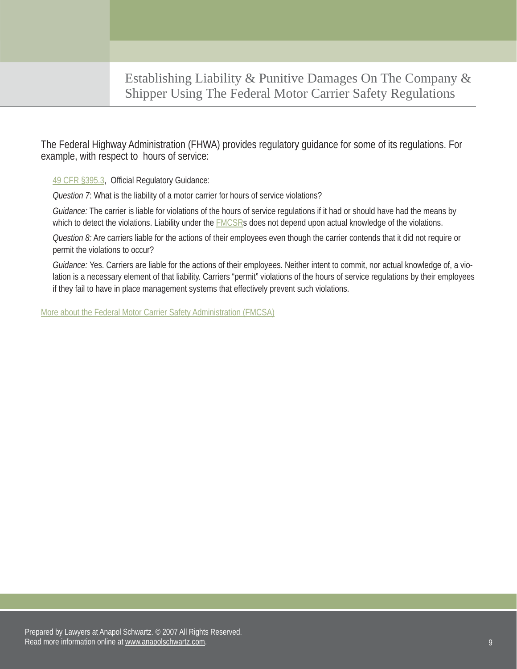The Federal Highway Administration (FHWA) provides regulatory guidance for some of its regulations. For example, with respect to hours of service:

49 CFR §395.3, Official Regulatory Guidance:

*Question 7*: What is the liability of a motor carrier for hours of service violations?

*Guidance:* The carrier is liable for violations of the hours of service regulations if it had or should have had the means by which to detect the violations. Liability under the **FMCSRs** does not depend upon actual knowledge of the violations.

*Question 8:* Are carriers liable for the actions of their employees even though the carrier contends that it did not require or permit the violations to occur?

*Guidance:* Yes. Carriers are liable for the actions of their employees. Neither intent to commit, nor actual knowledge of, a violation is a necessary element of that liability. Carriers "permit" violations of the hours of service regulations by their employees if they fail to have in place management systems that effectively prevent such violations.

[More about the Federal Motor Carrier Safety Administration \(FMCSA\)](http://www.anapolschwartz.com/pa-truck-accident/fmcsa.asp)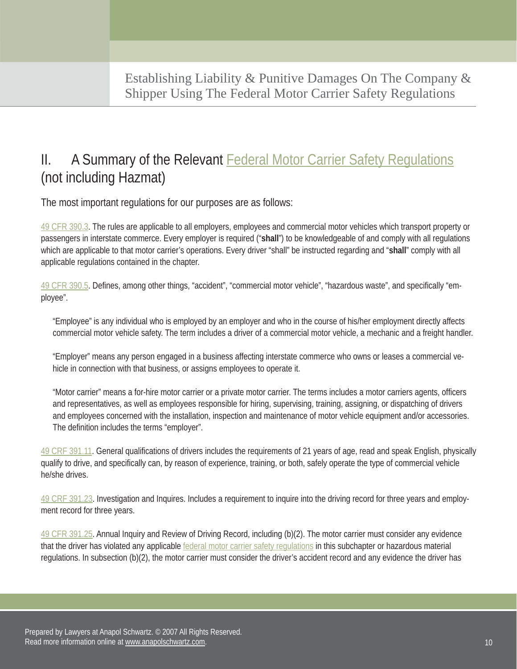# II. A Summary of the Relevant **Federal Motor Carrier Safety Regulations** (not including Hazmat)

The most important regulations for our purposes are as follows:

49 CFR 390.3. The rules are applicable to all employers, employees and commercial motor vehicles which transport property or passengers in interstate commerce. Every employer is required ("**shall**") to be knowledgeable of and comply with all regulations which are applicable to that motor carrier's operations. Every driver "shall" be instructed regarding and "**shall**" comply with all applicable regulations contained in the chapter.

49 CFR 390.5. Defines, among other things, "accident", "commercial motor vehicle", "hazardous waste", and specifically "employee".

"Employee" is any individual who is employed by an employer and who in the course of his/her employment directly affects commercial motor vehicle safety. The term includes a driver of a commercial motor vehicle, a mechanic and a freight handler.

"Employer" means any person engaged in a business affecting interstate commerce who owns or leases a commercial vehicle in connection with that business, or assigns employees to operate it.

"Motor carrier" means a for-hire motor carrier or a private motor carrier. The terms includes a motor carriers agents, officers and representatives, as well as employees responsible for hiring, supervising, training, assigning, or dispatching of drivers and employees concerned with the installation, inspection and maintenance of motor vehicle equipment and/or accessories. The definition includes the terms "employer".

49 CRF 391.11. General qualifications of drivers includes the requirements of 21 years of age, read and speak English, physically qualify to drive, and specifically can, by reason of experience, training, or both, safely operate the type of commercial vehicle he/she drives.

49 CRF 391.23. Investigation and Inquires. Includes a requirement to inquire into the driving record for three years and employment record for three years.

49 CFR 391.25. Annual Inquiry and Review of Driving Record, including (b)(2). The motor carrier must consider any evidence that the driver has violated any applicable [federal motor carrier safety regulations](http://www.google.com/search?sourceid=navclient&aq=t&ie=UTF-8&rlz=1T4ADBF_enUS235US235&q=FMCSR) in this subchapter or hazardous material regulations. In subsection (b)(2), the motor carrier must consider the driver's accident record and any evidence the driver has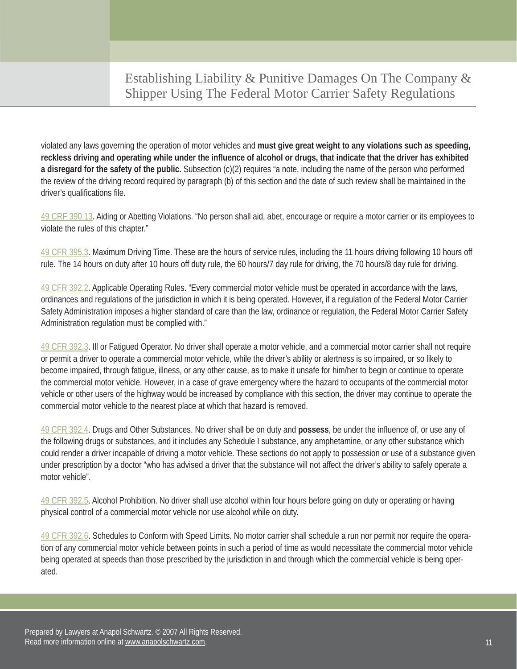violated any laws governing the operation of motor vehicles and **must give great weight to any violations such as speeding, reckless driving and operating while under the influence of alcohol or drugs, that indicate that the driver has exhibited a disregard for the safety of the public.** Subsection (c)(2) requires "a note, including the name of the person who performed the review of the driving record required by paragraph (b) of this section and the date of such review shall be maintained in the driver's qualifications file.

49 CRF 390.13. Aiding or Abetting Violations. "No person shall aid, abet, encourage or require a motor carrier or its employees to violate the rules of this chapter."

49 CFR 395.3. Maximum Driving Time. These are the hours of service rules, including the 11 hours driving following 10 hours off rule. The 14 hours on duty after 10 hours off duty rule, the 60 hours/7 day rule for driving, the 70 hours/8 day rule for driving.

49 CFR 392.2. Applicable Operating Rules. "Every commercial motor vehicle must be operated in accordance with the laws, ordinances and regulations of the jurisdiction in which it is being operated. However, if a regulation of the Federal Motor Carrier Safety Administration imposes a higher standard of care than the law, ordinance or regulation, the Federal Motor Carrier Safety Administration regulation must be complied with."

49 CFR 392.3. Ill or Fatigued Operator. No driver shall operate a motor vehicle, and a commercial motor carrier shall not require or permit a driver to operate a commercial motor vehicle, while the driver's ability or alertness is so impaired, or so likely to become impaired, through fatigue, illness, or any other cause, as to make it unsafe for him/her to begin or continue to operate the commercial motor vehicle. However, in a case of grave emergency where the hazard to occupants of the commercial motor vehicle or other users of the highway would be increased by compliance with this section, the driver may continue to operate the commercial motor vehicle to the nearest place at which that hazard is removed.

49 CFR 392.4. Drugs and Other Substances. No driver shall be on duty and **possess**, be under the influence of, or use any of the following drugs or substances, and it includes any Schedule I substance, any amphetamine, or any other substance which could render a driver incapable of driving a motor vehicle. These sections do not apply to possession or use of a substance given under prescription by a doctor "who has advised a driver that the substance will not affect the driver's ability to safely operate a motor vehicle".

49 CFR 392.5. Alcohol Prohibition. No driver shall use alcohol within four hours before going on duty or operating or having physical control of a commercial motor vehicle nor use alcohol while on duty.

49 CFR 392.6. Schedules to Conform with Speed Limits. No motor carrier shall schedule a run nor permit nor require the operation of any commercial motor vehicle between points in such a period of time as would necessitate the commercial motor vehicle being operated at speeds than those prescribed by the jurisdiction in and through which the commercial vehicle is being operated.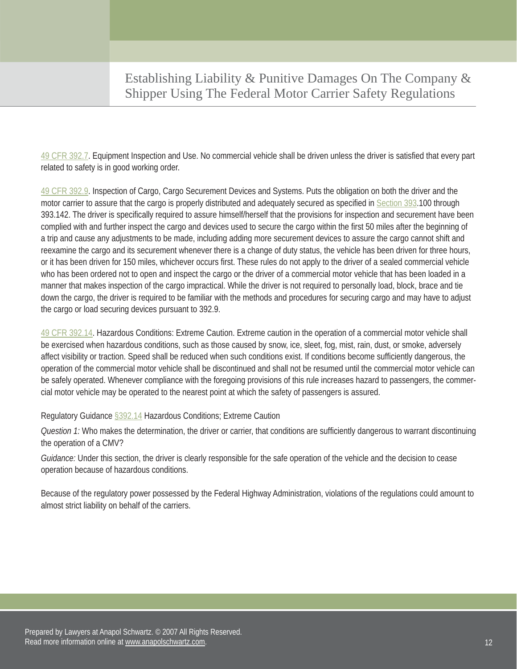49 CFR 392.7. Equipment Inspection and Use. No commercial vehicle shall be driven unless the driver is satisfied that every part related to safety is in good working order.

49 CFR 392.9. Inspection of Cargo, Cargo Securement Devices and Systems. Puts the obligation on both the driver and the motor carrier to assure that the cargo is properly distributed and adequately secured as specified in Section 393.100 through 393.142. The driver is specifically required to assure himself/herself that the provisions for inspection and securement have been complied with and further inspect the cargo and devices used to secure the cargo within the first 50 miles after the beginning of a trip and cause any adjustments to be made, including adding more securement devices to assure the cargo cannot shift and reexamine the cargo and its securement whenever there is a change of duty status, the vehicle has been driven for three hours, or it has been driven for 150 miles, whichever occurs first. These rules do not apply to the driver of a sealed commercial vehicle who has been ordered not to open and inspect the cargo or the driver of a commercial motor vehicle that has been loaded in a manner that makes inspection of the cargo impractical. While the driver is not required to personally load, block, brace and tie down the cargo, the driver is required to be familiar with the methods and procedures for securing cargo and may have to adjust the cargo or load securing devices pursuant to 392.9.

49 CFR 392.14. Hazardous Conditions: Extreme Caution. Extreme caution in the operation of a commercial motor vehicle shall be exercised when hazardous conditions, such as those caused by snow, ice, sleet, fog, mist, rain, dust, or smoke, adversely affect visibility or traction. Speed shall be reduced when such conditions exist. If conditions become sufficiently dangerous, the operation of the commercial motor vehicle shall be discontinued and shall not be resumed until the commercial motor vehicle can be safely operated. Whenever compliance with the foregoing provisions of this rule increases hazard to passengers, the commercial motor vehicle may be operated to the nearest point at which the safety of passengers is assured.

Regulatory Guidance §392.14 Hazardous Conditions; Extreme Caution

*Question 1:* Who makes the determination, the driver or carrier, that conditions are sufficiently dangerous to warrant discontinuing the operation of a CMV?

*Guidance:* Under this section, the driver is clearly responsible for the safe operation of the vehicle and the decision to cease operation because of hazardous conditions.

Because of the regulatory power possessed by the Federal Highway Administration, violations of the regulations could amount to almost strict liability on behalf of the carriers.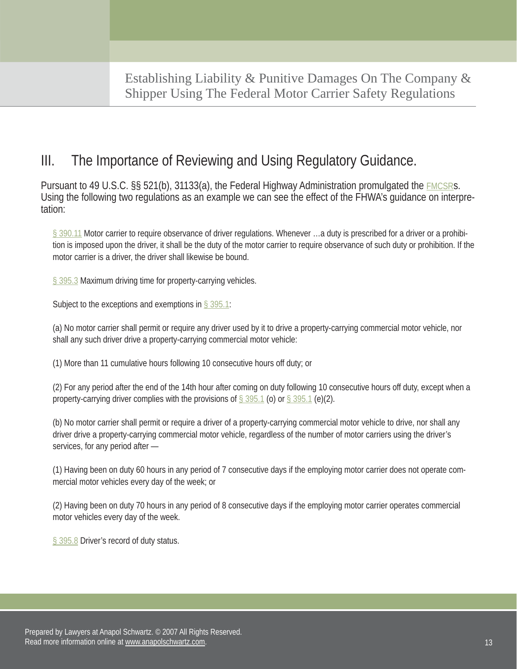## III. The Importance of Reviewing and Using Regulatory Guidance.

Pursuant to 49 U.S.C. §§ 521(b), 31133(a), the Federal Highway Administration promulgated the [FMCSRs.](http://www.google.com/search?sourceid=navclient&aq=t&ie=UTF-8&rlz=1T4ADBF_enUS235US235&q=FMCSR)  Using the following two regulations as an example we can see the effect of the FHWA's guidance on interpretation:

§ 390.11 Motor carrier to require observance of driver regulations. Whenever …a duty is prescribed for a driver or a prohibition is imposed upon the driver, it shall be the duty of the motor carrier to require observance of such duty or prohibition. If the motor carrier is a driver, the driver shall likewise be bound.

§ 395.3 Maximum driving time for property-carrying vehicles.

Subject to the exceptions and exemptions in  $\S 395.1$ :

(a) No motor carrier shall permit or require any driver used by it to drive a property-carrying commercial motor vehicle, nor shall any such driver drive a property-carrying commercial motor vehicle:

(1) More than 11 cumulative hours following 10 consecutive hours off duty; or

(2) For any period after the end of the 14th hour after coming on duty following 10 consecutive hours off duty, except when a property-carrying driver complies with the provisions of  $\S 395.1$  (o) or  $\S 395.1$  (e)(2).

(b) No motor carrier shall permit or require a driver of a property-carrying commercial motor vehicle to drive, nor shall any driver drive a property-carrying commercial motor vehicle, regardless of the number of motor carriers using the driver's services, for any period after —

(1) Having been on duty 60 hours in any period of 7 consecutive days if the employing motor carrier does not operate commercial motor vehicles every day of the week; or

(2) Having been on duty 70 hours in any period of 8 consecutive days if the employing motor carrier operates commercial motor vehicles every day of the week.

§ 395.8 Driver's record of duty status.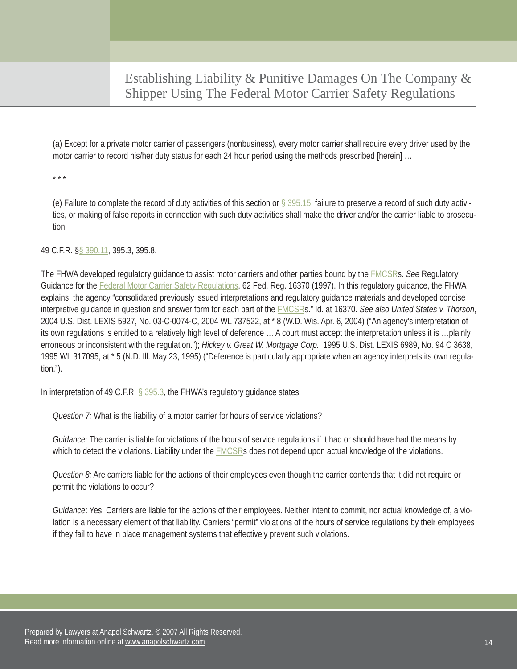(a) Except for a private motor carrier of passengers (nonbusiness), every motor carrier shall require every driver used by the motor carrier to record his/her duty status for each 24 hour period using the methods prescribed [herein] …

\* \* \*

(e) Failure to complete the record of duty activities of this section or  $\S 395.15$ , failure to preserve a record of such duty activities, or making of false reports in connection with such duty activities shall make the driver and/or the carrier liable to prosecution.

49 C.F.R. §§ 390.11, 395.3, 395.8.

The FHWA developed regulatory guidance to assist motor carriers and other parties bound by the [FMCSRs](http://www.google.com/search?sourceid=navclient&aq=t&ie=UTF-8&rlz=1T4ADBF_enUS235US235&q=FMCSR). *See* Regulatory Guidance for the [Federal Motor Carrier Safety Regulations,](http://www.google.com/search?sourceid=navclient&aq=t&ie=UTF-8&rlz=1T4ADBF_enUS235US235&q=FMCSR) 62 Fed. Reg. 16370 (1997). In this regulatory guidance, the FHWA explains, the agency "consolidated previously issued interpretations and regulatory guidance materials and developed concise interpretive guidance in question and answer form for each part of the [FMCSRs](http://www.google.com/search?sourceid=navclient&aq=t&ie=UTF-8&rlz=1T4ADBF_enUS235US235&q=FMCSR)." Id. at 16370. *See also United States v. Thorson*, 2004 U.S. Dist. LEXIS 5927, No. 03-C-0074-C, 2004 WL 737522, at \* 8 (W.D. Wis. Apr. 6, 2004) ("An agency's interpretation of its own regulations is entitled to a relatively high level of deference … A court must accept the interpretation unless it is …plainly erroneous or inconsistent with the regulation."); *Hickey v. Great W. Mortgage Corp.*, 1995 U.S. Dist. LEXIS 6989, No. 94 C 3638, 1995 WL 317095, at \* 5 (N.D. Ill. May 23, 1995) ("Deference is particularly appropriate when an agency interprets its own regulation.").

In interpretation of 49 C.F.R. § 395.3, the FHWA's regulatory guidance states:

*Question 7:* What is the liability of a motor carrier for hours of service violations?

*Guidance:* The carrier is liable for violations of the hours of service regulations if it had or should have had the means by which to detect the violations. Liability under the [FMCSRs](http://www.google.com/search?sourceid=navclient&aq=t&ie=UTF-8&rlz=1T4ADBF_enUS235US235&q=FMCSR) does not depend upon actual knowledge of the violations.

*Question 8:* Are carriers liable for the actions of their employees even though the carrier contends that it did not require or permit the violations to occur?

*Guidance*: Yes. Carriers are liable for the actions of their employees. Neither intent to commit, nor actual knowledge of, a violation is a necessary element of that liability. Carriers "permit" violations of the hours of service regulations by their employees if they fail to have in place management systems that effectively prevent such violations.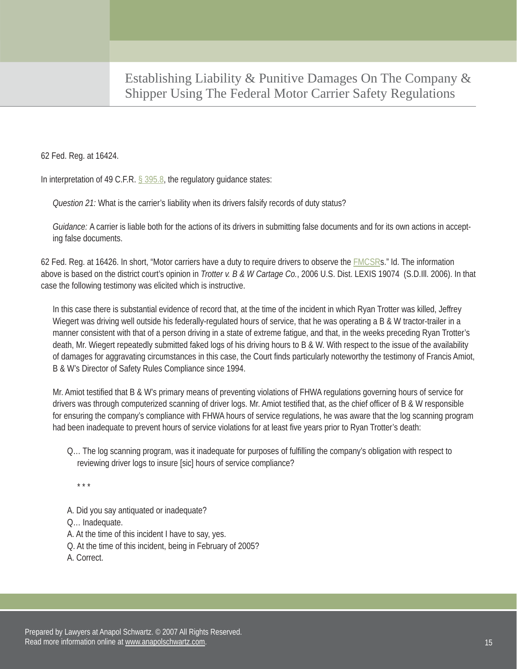62 Fed. Reg. at 16424.

In interpretation of 49 C.F.R. § 395.8, the regulatory guidance states:

*Question 21:* What is the carrier's liability when its drivers falsify records of duty status?

*Guidance:* A carrier is liable both for the actions of its drivers in submitting false documents and for its own actions in accepting false documents.

62 Fed. Reg. at 16426. In short, "Motor carriers have a duty to require drivers to observe the **FMCSRs."** Id. The information above is based on the district court's opinion in *Trotter v. B & W Cartage Co.*, 2006 U.S. Dist. LEXIS 19074 (S.D.Ill. 2006). In that case the following testimony was elicited which is instructive.

In this case there is substantial evidence of record that, at the time of the incident in which Ryan Trotter was killed, Jeffrey Wiegert was driving well outside his federally-regulated hours of service, that he was operating a B & W tractor-trailer in a manner consistent with that of a person driving in a state of extreme fatigue, and that, in the weeks preceding Ryan Trotter's death, Mr. Wiegert repeatedly submitted faked logs of his driving hours to B & W. With respect to the issue of the availability of damages for aggravating circumstances in this case, the Court finds particularly noteworthy the testimony of Francis Amiot, B & W's Director of Safety Rules Compliance since 1994.

Mr. Amiot testified that B & W's primary means of preventing violations of FHWA regulations governing hours of service for drivers was through computerized scanning of driver logs. Mr. Amiot testified that, as the chief officer of B & W responsible for ensuring the company's compliance with FHWA hours of service regulations, he was aware that the log scanning program had been inadequate to prevent hours of service violations for at least five years prior to Ryan Trotter's death:

Q… The log scanning program, was it inadequate for purposes of fulfilling the company's obligation with respect to reviewing driver logs to insure [sic] hours of service compliance?

\* \* \*

A. Did you say antiquated or inadequate?

Q… Inadequate.

- A. At the time of this incident I have to say, yes.
- Q. At the time of this incident, being in February of 2005?
- A. Correct.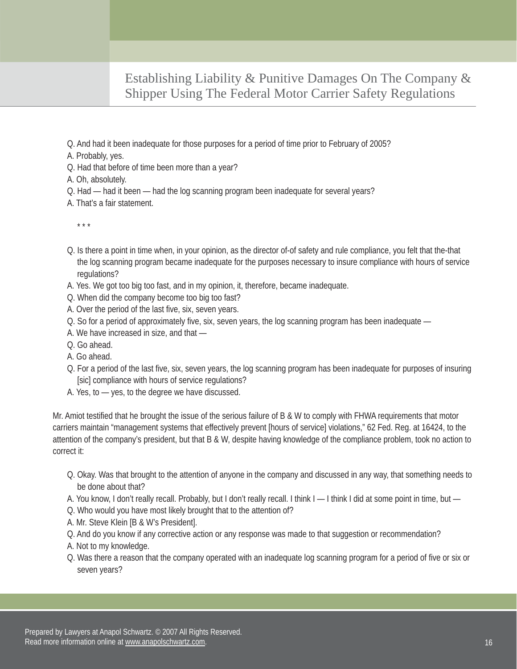- Q. And had it been inadequate for those purposes for a period of time prior to February of 2005?
- A. Probably, yes.
- Q. Had that before of time been more than a year?
- A. Oh, absolutely.
- Q. Had had it been had the log scanning program been inadequate for several years?
- A. That's a fair statement.

\* \* \*

- Q. Is there a point in time when, in your opinion, as the director of-of safety and rule compliance, you felt that the-that the log scanning program became inadequate for the purposes necessary to insure compliance with hours of service regulations?
- A. Yes. We got too big too fast, and in my opinion, it, therefore, became inadequate.
- Q. When did the company become too big too fast?
- A. Over the period of the last five, six, seven years.
- Q. So for a period of approximately five, six, seven years, the log scanning program has been inadequate —
- A. We have increased in size, and that —
- Q. Go ahead.
- A. Go ahead.
- Q. For a period of the last five, six, seven years, the log scanning program has been inadequate for purposes of insuring [sic] compliance with hours of service regulations?
- A. Yes, to yes, to the degree we have discussed.

Mr. Amiot testified that he brought the issue of the serious failure of B & W to comply with FHWA requirements that motor carriers maintain "management systems that effectively prevent [hours of service] violations," 62 Fed. Reg. at 16424, to the attention of the company's president, but that B & W, despite having knowledge of the compliance problem, took no action to correct it:

- Q. Okay. Was that brought to the attention of anyone in the company and discussed in any way, that something needs to be done about that?
- A. You know, I don't really recall. Probably, but I don't really recall. I think I I think I did at some point in time, but —
- Q. Who would you have most likely brought that to the attention of?
- A. Mr. Steve Klein [B & W's President].
- Q. And do you know if any corrective action or any response was made to that suggestion or recommendation?
- A. Not to my knowledge.
- Q. Was there a reason that the company operated with an inadequate log scanning program for a period of five or six or seven years?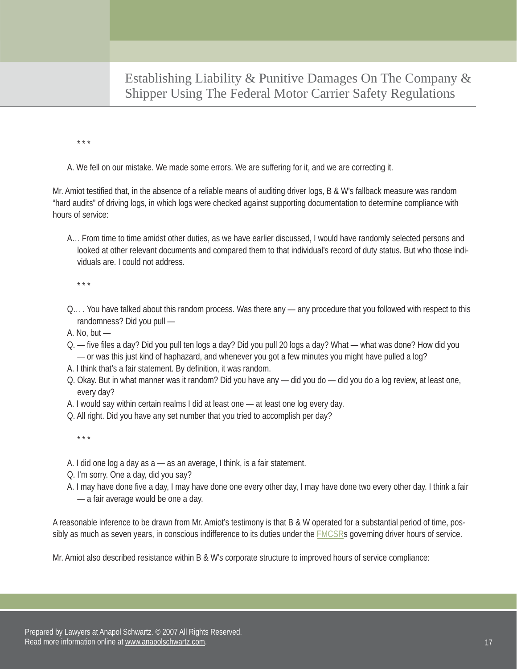\* \* \*

A. We fell on our mistake. We made some errors. We are suffering for it, and we are correcting it.

Mr. Amiot testified that, in the absence of a reliable means of auditing driver logs, B & W's fallback measure was random "hard audits" of driving logs, in which logs were checked against supporting documentation to determine compliance with hours of service:

A… From time to time amidst other duties, as we have earlier discussed, I would have randomly selected persons and looked at other relevant documents and compared them to that individual's record of duty status. But who those individuals are. I could not address.

\* \* \*

- Q… . You have talked about this random process. Was there any any procedure that you followed with respect to this randomness? Did you pull —
- A. No, but  $-$
- Q. five files a day? Did you pull ten logs a day? Did you pull 20 logs a day? What what was done? How did you — or was this just kind of haphazard, and whenever you got a few minutes you might have pulled a log?
- A. I think that's a fair statement. By definition, it was random.
- Q. Okay. But in what manner was it random? Did you have any did you do did you do a log review, at least one, every day?
- A. I would say within certain realms I did at least one at least one log every day.
- Q. All right. Did you have any set number that you tried to accomplish per day?

\* \* \*

- A. I did one log a day as a as an average, I think, is a fair statement.
- Q. I'm sorry. One a day, did you say?
- A. I may have done five a day, I may have done one every other day, I may have done two every other day. I think a fair — a fair average would be one a day.

A reasonable inference to be drawn from Mr. Amiot's testimony is that B & W operated for a substantial period of time, possibly as much as seven years, in conscious indifference to its duties under the **FMCSRs** governing driver hours of service.

Mr. Amiot also described resistance within B & W's corporate structure to improved hours of service compliance: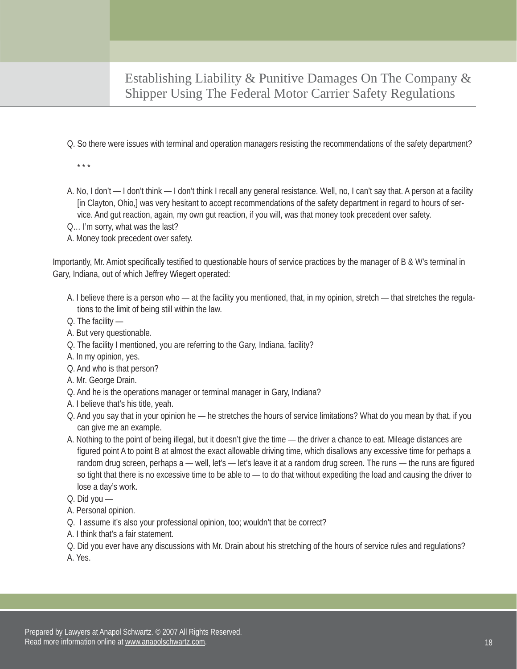Q. So there were issues with terminal and operation managers resisting the recommendations of the safety department?

\* \* \*

- A. No, I don't I don't think I don't think I recall any general resistance. Well, no, I can't say that. A person at a facility [in Clayton, Ohio,] was very hesitant to accept recommendations of the safety department in regard to hours of service. And gut reaction, again, my own gut reaction, if you will, was that money took precedent over safety.
- Q… I'm sorry, what was the last?
- A. Money took precedent over safety.

Importantly, Mr. Amiot specifically testified to questionable hours of service practices by the manager of B & W's terminal in Gary, Indiana, out of which Jeffrey Wiegert operated:

- A. I believe there is a person who at the facility you mentioned, that, in my opinion, stretch that stretches the regulations to the limit of being still within the law.
- Q. The facility —
- A. But very questionable.
- Q. The facility I mentioned, you are referring to the Gary, Indiana, facility?
- A. In my opinion, yes.
- Q. And who is that person?
- A. Mr. George Drain.
- Q. And he is the operations manager or terminal manager in Gary, Indiana?
- A. I believe that's his title, yeah.
- Q. And you say that in your opinion he he stretches the hours of service limitations? What do you mean by that, if you can give me an example.
- A. Nothing to the point of being illegal, but it doesn't give the time the driver a chance to eat. Mileage distances are figured point A to point B at almost the exact allowable driving time, which disallows any excessive time for perhaps a random drug screen, perhaps a — well, let's — let's leave it at a random drug screen. The runs — the runs are figured so tight that there is no excessive time to be able to — to do that without expediting the load and causing the driver to lose a day's work.
- Q. Did you —
- A. Personal opinion.
- Q. I assume it's also your professional opinion, too; wouldn't that be correct?
- A. I think that's a fair statement.
- Q. Did you ever have any discussions with Mr. Drain about his stretching of the hours of service rules and regulations? A. Yes.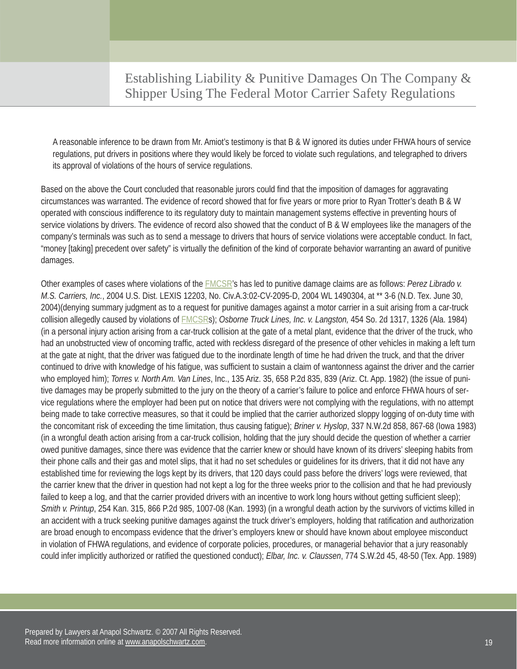A reasonable inference to be drawn from Mr. Amiot's testimony is that B & W ignored its duties under FHWA hours of service regulations, put drivers in positions where they would likely be forced to violate such regulations, and telegraphed to drivers its approval of violations of the hours of service regulations.

Based on the above the Court concluded that reasonable jurors could find that the imposition of damages for aggravating circumstances was warranted. The evidence of record showed that for five years or more prior to Ryan Trotter's death B & W operated with conscious indifference to its regulatory duty to maintain management systems effective in preventing hours of service violations by drivers. The evidence of record also showed that the conduct of B & W employees like the managers of the company's terminals was such as to send a message to drivers that hours of service violations were acceptable conduct. In fact, "money [taking] precedent over safety" is virtually the definition of the kind of corporate behavior warranting an award of punitive damages.

Other examples of cases where violations of the [FMCSR's](http://www.google.com/search?sourceid=navclient&aq=t&ie=UTF-8&rlz=1T4ADBF_enUS235US235&q=FMCSR) has led to punitive damage claims are as follows: *Perez Librado v. M.S. Carriers, Inc.*, 2004 U.S. Dist. LEXIS 12203, No. Civ.A.3:02-CV-2095-D, 2004 WL 1490304, at \*\* 3-6 (N.D. Tex. June 30, 2004)(denying summary judgment as to a request for punitive damages against a motor carrier in a suit arising from a car-truck collision allegedly caused by violations of [FMCSRs](http://www.google.com/search?sourceid=navclient&aq=t&ie=UTF-8&rlz=1T4ADBF_enUS235US235&q=FMCSR)); *Osborne Truck Lines, Inc. v. Langston,* 454 So. 2d 1317, 1326 (Ala. 1984) (in a personal injury action arising from a car-truck collision at the gate of a metal plant, evidence that the driver of the truck, who had an unobstructed view of oncoming traffic, acted with reckless disregard of the presence of other vehicles in making a left turn at the gate at night, that the driver was fatigued due to the inordinate length of time he had driven the truck, and that the driver continued to drive with knowledge of his fatigue, was sufficient to sustain a claim of wantonness against the driver and the carrier who employed him); *Torres v. North Am. Van Lines*, Inc., 135 Ariz. 35, 658 P.2d 835, 839 (Ariz. Ct. App. 1982) (the issue of punitive damages may be properly submitted to the jury on the theory of a carrier's failure to police and enforce FHWA hours of service regulations where the employer had been put on notice that drivers were not complying with the regulations, with no attempt being made to take corrective measures, so that it could be implied that the carrier authorized sloppy logging of on-duty time with the concomitant risk of exceeding the time limitation, thus causing fatigue); *Briner v. Hyslop*, 337 N.W.2d 858, 867-68 (Iowa 1983) (in a wrongful death action arising from a car-truck collision, holding that the jury should decide the question of whether a carrier owed punitive damages, since there was evidence that the carrier knew or should have known of its drivers' sleeping habits from their phone calls and their gas and motel slips, that it had no set schedules or guidelines for its drivers, that it did not have any established time for reviewing the logs kept by its drivers, that 120 days could pass before the drivers' logs were reviewed, that the carrier knew that the driver in question had not kept a log for the three weeks prior to the collision and that he had previously failed to keep a log, and that the carrier provided drivers with an incentive to work long hours without getting sufficient sleep); *Smith v. Printup*, 254 Kan. 315, 866 P.2d 985, 1007-08 (Kan. 1993) (in a wrongful death action by the survivors of victims killed in an accident with a truck seeking punitive damages against the truck driver's employers, holding that ratification and authorization are broad enough to encompass evidence that the driver's employers knew or should have known about employee misconduct in violation of FHWA regulations, and evidence of corporate policies, procedures, or managerial behavior that a jury reasonably could infer implicitly authorized or ratified the questioned conduct); *Elbar, Inc. v. Claussen*, 774 S.W.2d 45, 48-50 (Tex. App. 1989)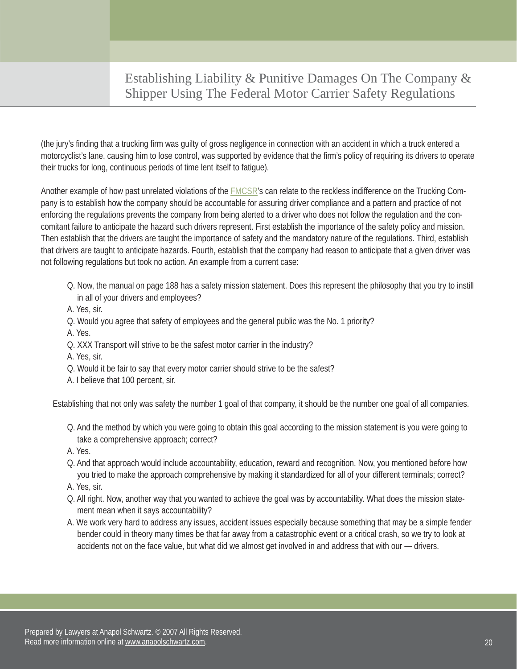(the jury's finding that a trucking firm was guilty of gross negligence in connection with an accident in which a truck entered a motorcyclist's lane, causing him to lose control, was supported by evidence that the firm's policy of requiring its drivers to operate their trucks for long, continuous periods of time lent itself to fatigue).

Another example of how past unrelated violations of the **FMCSR's** can relate to the reckless indifference on the Trucking Company is to establish how the company should be accountable for assuring driver compliance and a pattern and practice of not enforcing the regulations prevents the company from being alerted to a driver who does not follow the regulation and the concomitant failure to anticipate the hazard such drivers represent. First establish the importance of the safety policy and mission. Then establish that the drivers are taught the importance of safety and the mandatory nature of the regulations. Third, establish that drivers are taught to anticipate hazards. Fourth, establish that the company had reason to anticipate that a given driver was not following regulations but took no action. An example from a current case:

- Q. Now, the manual on page 188 has a safety mission statement. Does this represent the philosophy that you try to instill in all of your drivers and employees?
- A. Yes, sir.
- Q. Would you agree that safety of employees and the general public was the No. 1 priority?
- A. Yes.
- Q. XXX Transport will strive to be the safest motor carrier in the industry?
- A. Yes, sir.
- Q. Would it be fair to say that every motor carrier should strive to be the safest?
- A. I believe that 100 percent, sir.

Establishing that not only was safety the number 1 goal of that company, it should be the number one goal of all companies.

- Q. And the method by which you were going to obtain this goal according to the mission statement is you were going to take a comprehensive approach; correct?
- A. Yes.
- Q. And that approach would include accountability, education, reward and recognition. Now, you mentioned before how you tried to make the approach comprehensive by making it standardized for all of your different terminals; correct?
- A. Yes, sir.
- Q. All right. Now, another way that you wanted to achieve the goal was by accountability. What does the mission statement mean when it says accountability?
- A. We work very hard to address any issues, accident issues especially because something that may be a simple fender bender could in theory many times be that far away from a catastrophic event or a critical crash, so we try to look at accidents not on the face value, but what did we almost get involved in and address that with our — drivers.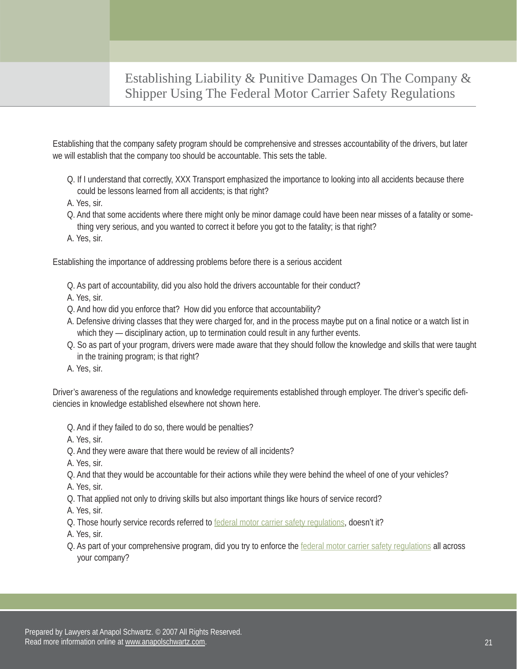Establishing that the company safety program should be comprehensive and stresses accountability of the drivers, but later we will establish that the company too should be accountable. This sets the table.

- Q. If I understand that correctly, XXX Transport emphasized the importance to looking into all accidents because there could be lessons learned from all accidents; is that right?
- A. Yes, sir.
- Q. And that some accidents where there might only be minor damage could have been near misses of a fatality or something very serious, and you wanted to correct it before you got to the fatality; is that right?
- A. Yes, sir.

Establishing the importance of addressing problems before there is a serious accident

- Q. As part of accountability, did you also hold the drivers accountable for their conduct?
- A. Yes, sir.
- Q. And how did you enforce that? How did you enforce that accountability?
- A. Defensive driving classes that they were charged for, and in the process maybe put on a final notice or a watch list in which they — disciplinary action, up to termination could result in any further events.
- Q. So as part of your program, drivers were made aware that they should follow the knowledge and skills that were taught in the training program; is that right?
- A. Yes, sir.

Driver's awareness of the regulations and knowledge requirements established through employer. The driver's specific deficiencies in knowledge established elsewhere not shown here.

- Q. And if they failed to do so, there would be penalties?
- A. Yes, sir.
- Q. And they were aware that there would be review of all incidents?
- A. Yes, sir.
- Q. And that they would be accountable for their actions while they were behind the wheel of one of your vehicles?
- A. Yes, sir.
- Q. That applied not only to driving skills but also important things like hours of service record?

A. Yes, sir.

Q. Those hourly service records referred t[o federal motor carrier safety regulations,](http://www.google.com/search?sourceid=navclient&aq=t&ie=UTF-8&rlz=1T4ADBF_enUS235US235&q=FMCSR) doesn't it?

A. Yes, sir.

Q. As part of your comprehensive program, did you try to enforce the [federal motor carrier safety regulations](http://www.google.com/search?sourceid=navclient&aq=t&ie=UTF-8&rlz=1T4ADBF_enUS235US235&q=FMCSR) all across your company?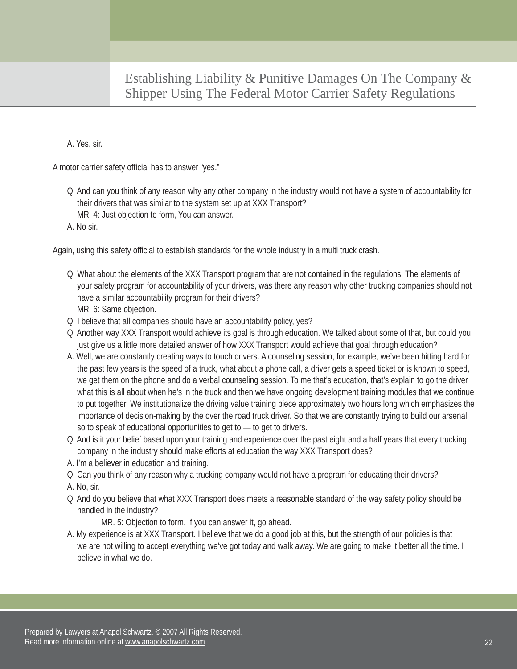#### A. Yes, sir.

A motor carrier safety official has to answer "yes."

- Q. And can you think of any reason why any other company in the industry would not have a system of accountability for their drivers that was similar to the system set up at XXX Transport? MR. 4: Just objection to form, You can answer.
- A. No sir.

Again, using this safety official to establish standards for the whole industry in a multi truck crash.

- Q. What about the elements of the XXX Transport program that are not contained in the regulations. The elements of your safety program for accountability of your drivers, was there any reason why other trucking companies should not have a similar accountability program for their drivers? MR. 6: Same objection.
- Q. I believe that all companies should have an accountability policy, yes?
- Q. Another way XXX Transport would achieve its goal is through education. We talked about some of that, but could you just give us a little more detailed answer of how XXX Transport would achieve that goal through education?
- A. Well, we are constantly creating ways to touch drivers. A counseling session, for example, we've been hitting hard for the past few years is the speed of a truck, what about a phone call, a driver gets a speed ticket or is known to speed, we get them on the phone and do a verbal counseling session. To me that's education, that's explain to go the driver what this is all about when he's in the truck and then we have ongoing development training modules that we continue to put together. We institutionalize the driving value training piece approximately two hours long which emphasizes the importance of decision-making by the over the road truck driver. So that we are constantly trying to build our arsenal so to speak of educational opportunities to get to — to get to drivers.
- Q. And is it your belief based upon your training and experience over the past eight and a half years that every trucking company in the industry should make efforts at education the way XXX Transport does?
- A. I'm a believer in education and training.
- Q. Can you think of any reason why a trucking company would not have a program for educating their drivers?
- A. No, sir.
- Q. And do you believe that what XXX Transport does meets a reasonable standard of the way safety policy should be handled in the industry?

MR. 5: Objection to form. If you can answer it, go ahead.

A. My experience is at XXX Transport. I believe that we do a good job at this, but the strength of our policies is that we are not willing to accept everything we've got today and walk away. We are going to make it better all the time. I believe in what we do.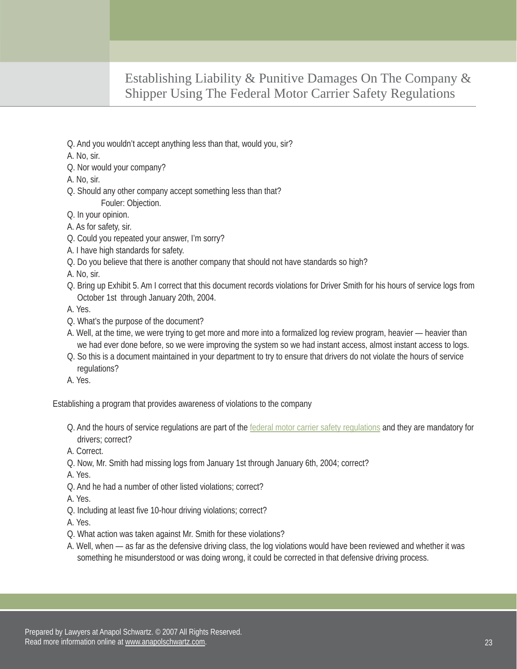Q. And you wouldn't accept anything less than that, would you, sir?

A. No, sir.

- Q. Nor would your company?
- A. No, sir.
- Q. Should any other company accept something less than that? Fouler: Objection.
- Q. In your opinion.
- A. As for safety, sir.
- Q. Could you repeated your answer, I'm sorry?
- A. I have high standards for safety.
- Q. Do you believe that there is another company that should not have standards so high?

A. No, sir.

Q. Bring up Exhibit 5. Am I correct that this document records violations for Driver Smith for his hours of service logs from October 1st through January 20th, 2004.

A. Yes.

- Q. What's the purpose of the document?
- A. Well, at the time, we were trying to get more and more into a formalized log review program, heavier heavier than we had ever done before, so we were improving the system so we had instant access, almost instant access to logs.
- Q. So this is a document maintained in your department to try to ensure that drivers do not violate the hours of service regulations?
- A. Yes.

Establishing a program that provides awareness of violations to the company

Q. And the hours of service regulations are part of the [federal motor carrier safety regulations](http://www.google.com/search?sourceid=navclient&aq=t&ie=UTF-8&rlz=1T4ADBF_enUS235US235&q=FMCSR) and they are mandatory for drivers; correct?

A. Correct.

Q. Now, Mr. Smith had missing logs from January 1st through January 6th, 2004; correct?

A. Yes.

Q. And he had a number of other listed violations; correct?

A. Yes.

Q. Including at least five 10-hour driving violations; correct?

A. Yes.

- Q. What action was taken against Mr. Smith for these violations?
- A. Well, when as far as the defensive driving class, the log violations would have been reviewed and whether it was something he misunderstood or was doing wrong, it could be corrected in that defensive driving process.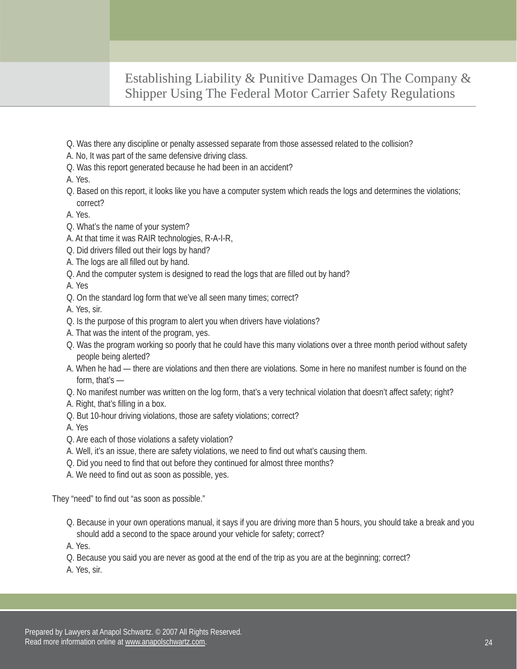- Q. Was there any discipline or penalty assessed separate from those assessed related to the collision?
- A. No, It was part of the same defensive driving class.
- Q. Was this report generated because he had been in an accident?
- A. Yes.
- Q. Based on this report, it looks like you have a computer system which reads the logs and determines the violations; correct?
- A. Yes.
- Q. What's the name of your system?
- A. At that time it was RAIR technologies, R-A-I-R,
- Q. Did drivers filled out their logs by hand?
- A. The logs are all filled out by hand.
- Q. And the computer system is designed to read the logs that are filled out by hand?

A. Yes

- Q. On the standard log form that we've all seen many times; correct?
- A. Yes, sir.
- Q. Is the purpose of this program to alert you when drivers have violations?
- A. That was the intent of the program, yes.
- Q. Was the program working so poorly that he could have this many violations over a three month period without safety people being alerted?
- A. When he had there are violations and then there are violations. Some in here no manifest number is found on the form, that's —
- Q. No manifest number was written on the log form, that's a very technical violation that doesn't affect safety; right?
- A. Right, that's filling in a box.
- Q. But 10-hour driving violations, those are safety violations; correct?

A. Yes

- Q. Are each of those violations a safety violation?
- A. Well, it's an issue, there are safety violations, we need to find out what's causing them.
- Q. Did you need to find that out before they continued for almost three months?
- A. We need to find out as soon as possible, yes.

They "need" to find out "as soon as possible."

Q. Because in your own operations manual, it says if you are driving more than 5 hours, you should take a break and you should add a second to the space around your vehicle for safety; correct?

A. Yes.

- Q. Because you said you are never as good at the end of the trip as you are at the beginning; correct?
- A. Yes, sir.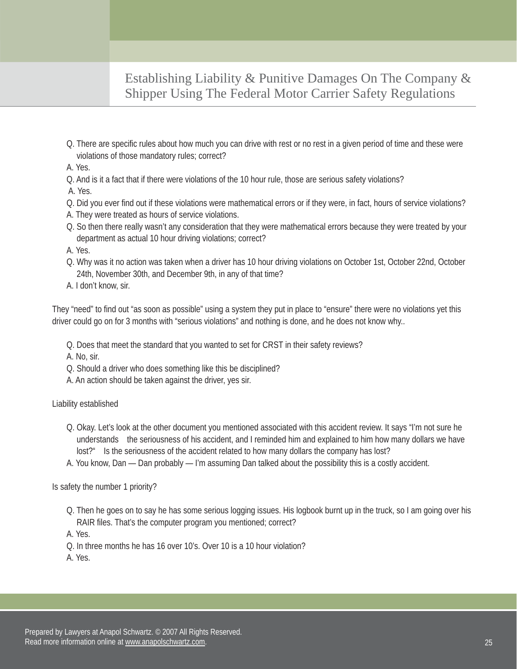- Q. There are specific rules about how much you can drive with rest or no rest in a given period of time and these were violations of those mandatory rules; correct?
- A. Yes.
- Q. And is it a fact that if there were violations of the 10 hour rule, those are serious safety violations?
- A. Yes.
- Q. Did you ever find out if these violations were mathematical errors or if they were, in fact, hours of service violations?
- A. They were treated as hours of service violations.
- Q. So then there really wasn't any consideration that they were mathematical errors because they were treated by your department as actual 10 hour driving violations; correct?
- A. Yes.
- Q. Why was it no action was taken when a driver has 10 hour driving violations on October 1st, October 22nd, October 24th, November 30th, and December 9th, in any of that time?
- A. I don't know, sir.

They "need" to find out "as soon as possible" using a system they put in place to "ensure" there were no violations yet this driver could go on for 3 months with "serious violations" and nothing is done, and he does not know why..

- Q. Does that meet the standard that you wanted to set for CRST in their safety reviews?
- A. No, sir.
- Q. Should a driver who does something like this be disciplined?
- A. An action should be taken against the driver, yes sir.

#### Liability established

- Q. Okay. Let's look at the other document you mentioned associated with this accident review. It says "I'm not sure he understands the seriousness of his accident, and I reminded him and explained to him how many dollars we have lost?" Is the seriousness of the accident related to how many dollars the company has lost?
- A. You know, Dan Dan probably I'm assuming Dan talked about the possibility this is a costly accident.

Is safety the number 1 priority?

Q. Then he goes on to say he has some serious logging issues. His logbook burnt up in the truck, so I am going over his RAIR files. That's the computer program you mentioned; correct?

A. Yes.

- Q. In three months he has 16 over 10's. Over 10 is a 10 hour violation?
- A. Yes.